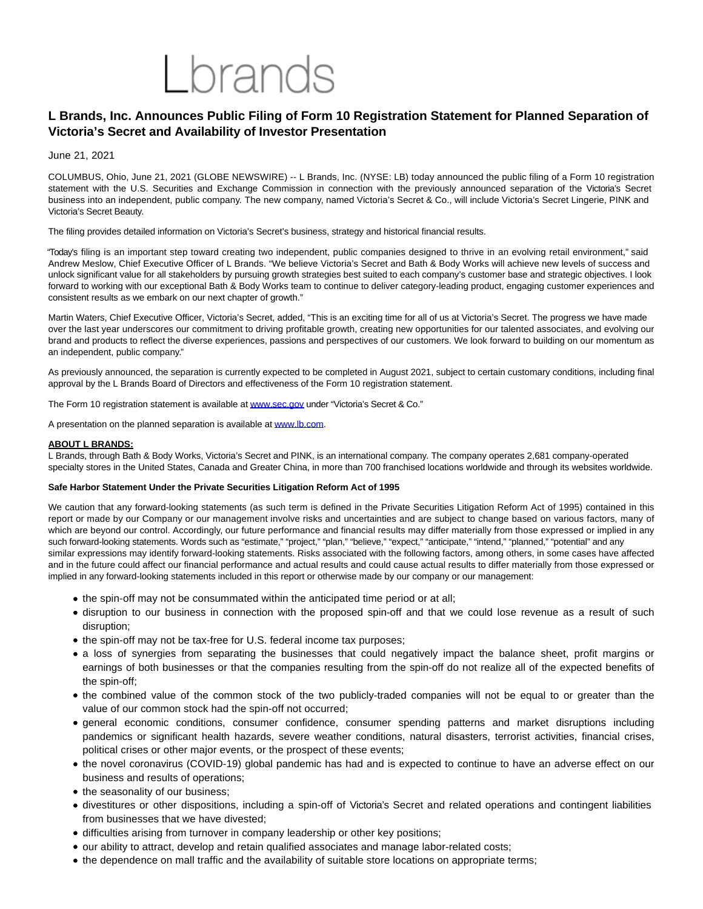## l brands

## **L Brands, Inc. Announces Public Filing of Form 10 Registration Statement for Planned Separation of Victoria's Secret and Availability of Investor Presentation**

June 21, 2021

COLUMBUS, Ohio, June 21, 2021 (GLOBE NEWSWIRE) -- L Brands, Inc. (NYSE: LB) today announced the public filing of a Form 10 registration statement with the U.S. Securities and Exchange Commission in connection with the previously announced separation of the Victoria's Secret business into an independent, public company. The new company, named Victoria's Secret & Co., will include Victoria's Secret Lingerie, PINK and Victoria's Secret Beauty.

The filing provides detailed information on Victoria's Secret's business, strategy and historical financial results.

"Today's filing is an important step toward creating two independent, public companies designed to thrive in an evolving retail environment," said Andrew Meslow, Chief Executive Officer of L Brands. "We believe Victoria's Secret and Bath & Body Works will achieve new levels of success and unlock significant value for all stakeholders by pursuing growth strategies best suited to each company's customer base and strategic objectives. I look forward to working with our exceptional Bath & Body Works team to continue to deliver category-leading product, engaging customer experiences and consistent results as we embark on our next chapter of growth."

Martin Waters, Chief Executive Officer, Victoria's Secret, added, "This is an exciting time for all of us at Victoria's Secret. The progress we have made over the last year underscores our commitment to driving profitable growth, creating new opportunities for our talented associates, and evolving our brand and products to reflect the diverse experiences, passions and perspectives of our customers. We look forward to building on our momentum as an independent, public company."

As previously announced, the separation is currently expected to be completed in August 2021, subject to certain customary conditions, including final approval by the L Brands Board of Directors and effectiveness of the Form 10 registration statement.

The Form 10 registration statement is available a[t www.sec.gov u](https://www.globenewswire.com/Tracker?data=5U0PZQsmn4-RfMg9XS0FFowHiGNBs3sJQfMd4xCCdDIiMqZhqG34Q5wIot9u4ATYj-ZYqQKh5kCVB_Co8358yg==)nder "Victoria's Secret & Co."

A presentation on the planned separation is available a[t www.lb.com.](https://www.globenewswire.com/Tracker?data=AZI9RELPbWFBGF9dLHGv4YGYCWwQnUs3Q6-nkZUK6YFV6avRElxH7KRVFNTc9ofBxzGmj1HhdCQ_HEeZZdaVBg==)

## **ABOUT L BRANDS:**

L Brands, through Bath & Body Works, Victoria's Secret and PINK, is an international company. The company operates 2,681 company-operated specialty stores in the United States, Canada and Greater China, in more than 700 franchised locations worldwide and through its websites worldwide.

## **Safe Harbor Statement Under the Private Securities Litigation Reform Act of 1995**

We caution that any forward-looking statements (as such term is defined in the Private Securities Litigation Reform Act of 1995) contained in this report or made by our Company or our management involve risks and uncertainties and are subject to change based on various factors, many of which are beyond our control. Accordingly, our future performance and financial results may differ materially from those expressed or implied in any such forward-looking statements. Words such as "estimate," "project," "plan," "believe," "expect," "anticipate," "intend," "planned," "potential" and any similar expressions may identify forward-looking statements. Risks associated with the following factors, among others, in some cases have affected and in the future could affect our financial performance and actual results and could cause actual results to differ materially from those expressed or implied in any forward-looking statements included in this report or otherwise made by our company or our management:

- the spin-off may not be consummated within the anticipated time period or at all;
- disruption to our business in connection with the proposed spin-off and that we could lose revenue as a result of such disruption;
- the spin-off may not be tax-free for U.S. federal income tax purposes;
- a loss of synergies from separating the businesses that could negatively impact the balance sheet, profit margins or earnings of both businesses or that the companies resulting from the spin-off do not realize all of the expected benefits of the spin-off;
- the combined value of the common stock of the two publicly-traded companies will not be equal to or greater than the value of our common stock had the spin-off not occurred;
- general economic conditions, consumer confidence, consumer spending patterns and market disruptions including pandemics or significant health hazards, severe weather conditions, natural disasters, terrorist activities, financial crises, political crises or other major events, or the prospect of these events;
- the novel coronavirus (COVID-19) global pandemic has had and is expected to continue to have an adverse effect on our business and results of operations;
- the seasonality of our business;
- divestitures or other dispositions, including a spin-off of Victoria's Secret and related operations and contingent liabilities from businesses that we have divested;
- difficulties arising from turnover in company leadership or other key positions;
- our ability to attract, develop and retain qualified associates and manage labor-related costs;
- the dependence on mall traffic and the availability of suitable store locations on appropriate terms;